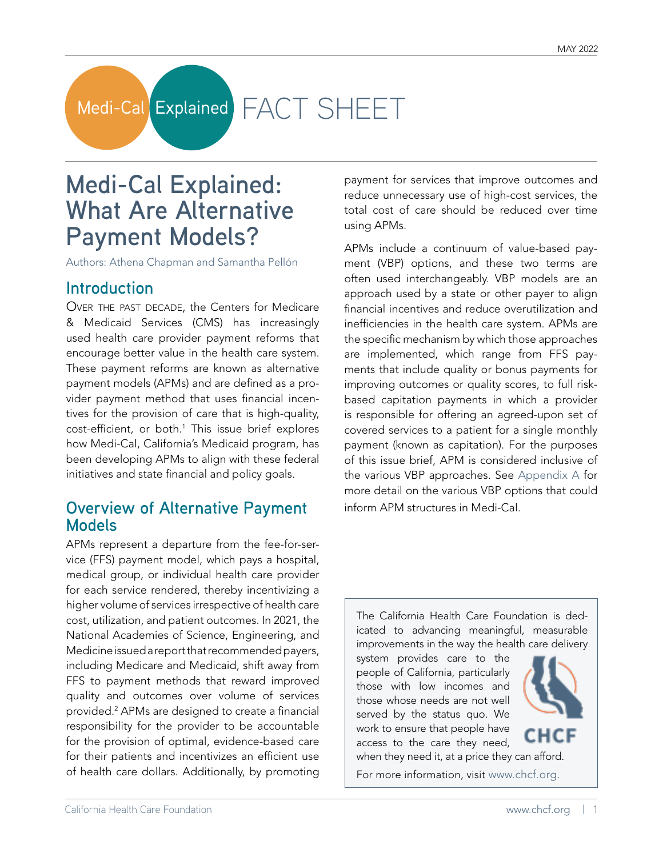# Medi-Cal Explained FACT SHEET

## **Medi-Cal Explained: What Are Alternative Payment Models?**

Authors: Athena Chapman and Samantha Pellón

### **Introduction**

OVER THE PAST DECADE, the Centers for Medicare & Medicaid Services (CMS) has increasingly used health care provider payment reforms that encourage better value in the health care system. These payment reforms are known as alternative payment models (APMs) and are defined as a provider payment method that uses financial incentives for the provision of care that is high-quality, cost-efficient, or both.<sup>1</sup> This issue brief explores how Medi-Cal, California's Medicaid program, has been developing APMs to align with these federal initiatives and state financial and policy goals.

### **Overview of Alternative Payment Models**

APMs represent a departure from the fee-for-service (FFS) payment model, which pays a hospital, medical group, or individual health care provider for each service rendered, thereby incentivizing a higher volume of services irrespective of health care cost, utilization, and patient outcomes. In 2021, the National Academies of Science, Engineering, and Medicine issued a report that recommended payers, including Medicare and Medicaid, shift away from FFS to payment methods that reward improved quality and outcomes over volume of services provided.2 APMs are designed to create a financial responsibility for the provider to be accountable for the provision of optimal, evidence-based care for their patients and incentivizes an efficient use of health care dollars. Additionally, by promoting

payment for services that improve outcomes and reduce unnecessary use of high-cost services, the total cost of care should be reduced over time using APMs.

APMs include a continuum of value-based payment (VBP) options, and these two terms are often used interchangeably. VBP models are an approach used by a state or other payer to align financial incentives and reduce overutilization and inefficiencies in the health care system. APMs are the specific mechanism by which those approaches are implemented, which range from FFS payments that include quality or bonus payments for improving outcomes or quality scores, to full riskbased capitation payments in which a provider is responsible for offering an agreed-upon set of covered services to a patient for a single monthly payment (known as capitation). For the purposes of this issue brief, APM is considered inclusive of the various VBP approaches. See [Appendix A](#page-7-0) for more detail on the various VBP options that could inform APM structures in Medi-Cal.

The California Health Care Foundation is dedicated to advancing meaningful, measurable improvements in the way the health care delivery

system provides care to the people of California, particularly those with low incomes and those whose needs are not well served by the status quo. We work to ensure that people have access to the care they need, when they need it, at a price they can afford.



For more information, visit [www.chcf.org.](http://www.chcf.org)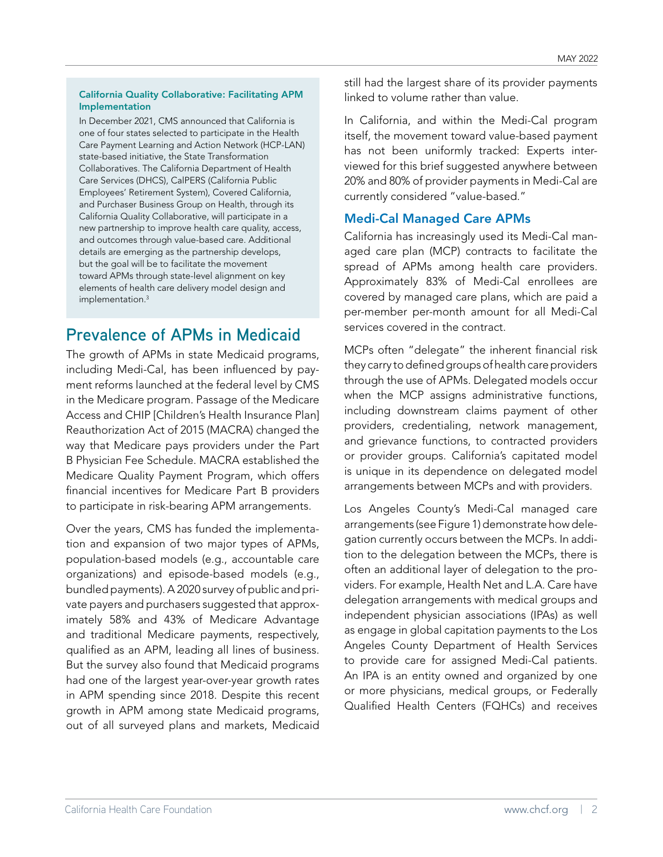### California Quality Collaborative: Facilitating APM Implementation

In December 2021, CMS announced that California is one of four states selected to participate in the Health Care Payment Learning and Action Network (HCP-LAN) state-based initiative, the State Transformation Collaboratives. The California Department of Health Care Services (DHCS), CalPERS (California Public Employees' Retirement System), Covered California, and Purchaser Business Group on Health, through its California Quality Collaborative, will participate in a new partnership to improve health care quality, access, and outcomes through value-based care. Additional details are emerging as the partnership develops, but the goal will be to facilitate the movement toward APMs through state-level alignment on key elements of health care delivery model design and implementation.3

## **Prevalence of APMs in Medicaid**

The growth of APMs in state Medicaid programs, including Medi-Cal, has been influenced by payment reforms launched at the federal level by CMS in the Medicare program. Passage of the Medicare Access and CHIP [Children's Health Insurance Plan] Reauthorization Act of 2015 (MACRA) changed the way that Medicare pays providers under the Part B Physician Fee Schedule. MACRA established the Medicare Quality Payment Program, which offers financial incentives for Medicare Part B providers to participate in risk-bearing APM arrangements.

Over the years, CMS has funded the implementation and expansion of two major types of APMs, population-based models (e.g., accountable care organizations) and episode-based models (e.g., bundled payments). A 2020 survey of public and private payers and purchasers suggested that approximately 58% and 43% of Medicare Advantage and traditional Medicare payments, respectively, qualified as an APM, leading all lines of business. But the survey also found that Medicaid programs had one of the largest year-over-year growth rates in APM spending since 2018. Despite this recent growth in APM among state Medicaid programs, out of all surveyed plans and markets, Medicaid

still had the largest share of its provider payments linked to volume rather than value.

In California, and within the Medi-Cal program itself, the movement toward value-based payment has not been uniformly tracked: Experts interviewed for this brief suggested anywhere between 20% and 80% of provider payments in Medi-Cal are currently considered "value-based."

### Medi-Cal Managed Care APMs

California has increasingly used its Medi-Cal managed care plan (MCP) contracts to facilitate the spread of APMs among health care providers. Approximately 83% of Medi-Cal enrollees are covered by managed care plans, which are paid a per-member per-month amount for all Medi-Cal services covered in the contract.

MCPs often "delegate" the inherent financial risk they carry to defined groups of health care providers through the use of APMs. Delegated models occur when the MCP assigns administrative functions, including downstream claims payment of other providers, credentialing, network management, and grievance functions, to contracted providers or provider groups. California's capitated model is unique in its dependence on delegated model arrangements between MCPs and with providers.

Los Angeles County's Medi-Cal managed care arrangements (see Figure 1) demonstrate how delegation currently occurs between the MCPs. In addition to the delegation between the MCPs, there is often an additional layer of delegation to the providers. For example, Health Net and L.A. Care have delegation arrangements with medical groups and independent physician associations (IPAs) as well as engage in global capitation payments to the Los Angeles County Department of Health Services to provide care for assigned Medi-Cal patients. An IPA is an entity owned and organized by one or more physicians, medical groups, or Federally Qualified Health Centers (FQHCs) and receives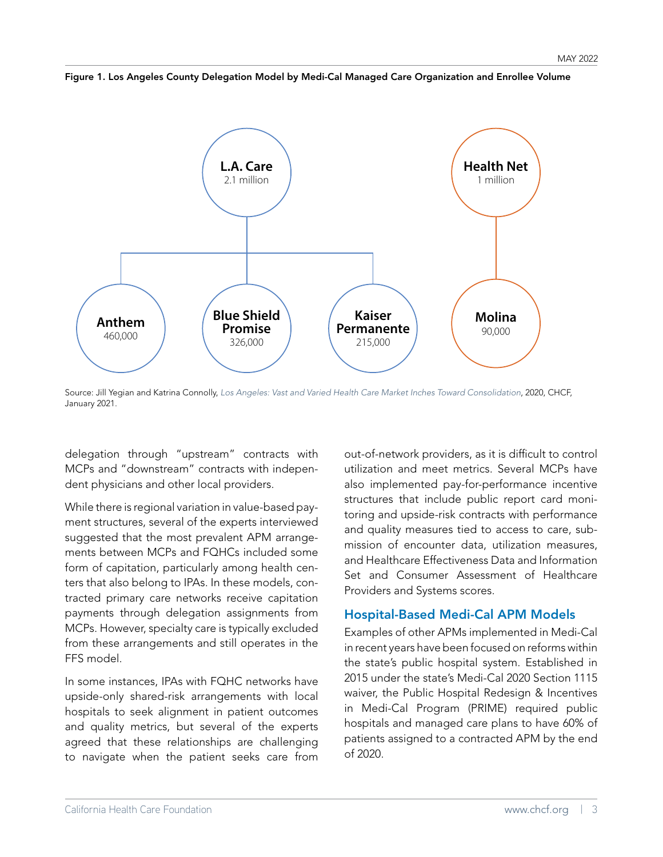

Figure 1. Los Angeles County Delegation Model by Medi-Cal Managed Care Organization and Enrollee Volume

Source: Jill Yegian and Katrina Connolly, [Los Angeles: Vast and Varied Health Care Market Inches Toward Consolidation](https://www.chcf.org/publication/los-angeles-vast-varied-health-care-market-inches-toward-consolidation/), 2020, CHCF, January 2021.

delegation through "upstream" contracts with MCPs and "downstream" contracts with independent physicians and other local providers.

While there is regional variation in value-based payment structures, several of the experts interviewed suggested that the most prevalent APM arrangements between MCPs and FQHCs included some form of capitation, particularly among health centers that also belong to IPAs. In these models, contracted primary care networks receive capitation payments through delegation assignments from MCPs. However, specialty care is typically excluded from these arrangements and still operates in the FFS model.

In some instances, IPAs with FQHC networks have upside-only shared-risk arrangements with local hospitals to seek alignment in patient outcomes and quality metrics, but several of the experts agreed that these relationships are challenging to navigate when the patient seeks care from

out-of-network providers, as it is difficult to control utilization and meet metrics. Several MCPs have also implemented pay-for-performance incentive structures that include public report card monitoring and upside-risk contracts with performance and quality measures tied to access to care, submission of encounter data, utilization measures, and Healthcare Effectiveness Data and Information Set and Consumer Assessment of Healthcare Providers and Systems scores.

### Hospital-Based Medi-Cal APM Models

Examples of other APMs implemented in Medi-Cal in recent years have been focused on reforms within the state's public hospital system. Established in 2015 under the state's Medi-Cal 2020 Section 1115 waiver, the Public Hospital Redesign & Incentives in Medi-Cal Program (PRIME) required public hospitals and managed care plans to have 60% of patients assigned to a contracted APM by the end of 2020.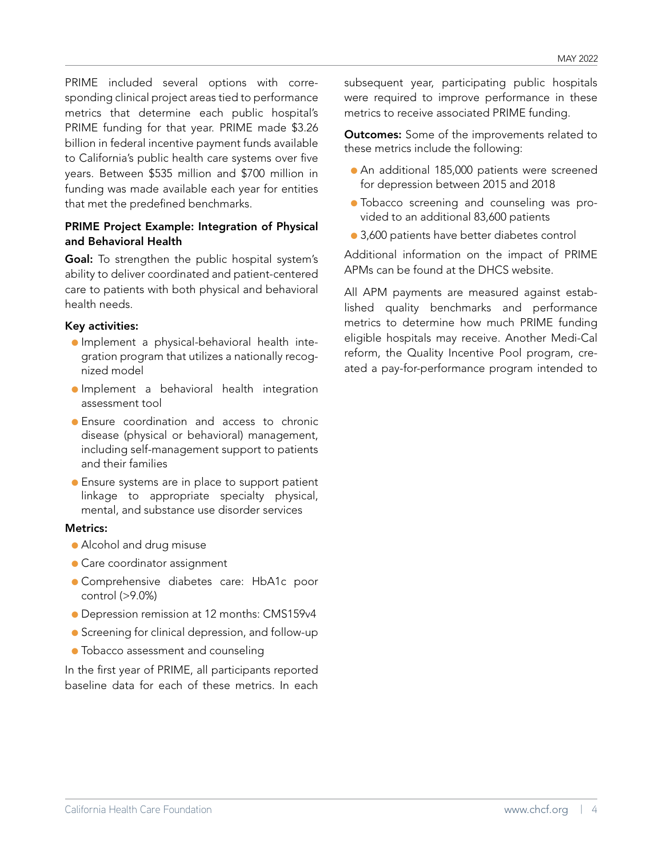PRIME included several options with corresponding clinical project areas tied to performance metrics that determine each public hospital's PRIME funding for that year. PRIME made \$3.26 billion in federal incentive payment funds available to California's public health care systems over five years. Between \$535 million and \$700 million in funding was made available each year for entities that met the predefined benchmarks.

### PRIME Project Example: Integration of Physical and Behavioral Health

Goal: To strengthen the public hospital system's ability to deliver coordinated and patient-centered care to patients with both physical and behavioral health needs.

### Key activities:

- Implement a physical-behavioral health integration program that utilizes a nationally recognized model
- Implement a behavioral health integration assessment tool
- Ensure coordination and access to chronic disease (physical or behavioral) management, including self-management support to patients and their families
- Ensure systems are in place to support patient linkage to appropriate specialty physical, mental, and substance use disorder services

### Metrics:

- Alcohol and drug misuse
- Care coordinator assignment
- Comprehensive diabetes care: HbA1c poor control (>9.0%)
- Depression remission at 12 months: CMS159v4
- Screening for clinical depression, and follow-up
- Tobacco assessment and counseling

In the first year of PRIME, all participants reported baseline data for each of these metrics. In each subsequent year, participating public hospitals were required to improve performance in these metrics to receive associated PRIME funding.

**Outcomes:** Some of the improvements related to these metrics include the following:

- An additional 185,000 patients were screened for depression between 2015 and 2018
- Tobacco screening and counseling was provided to an additional 83,600 patients
- 3,600 patients have better diabetes control

Additional information on the impact of PRIME APMs can be found at the DHCS website.

All APM payments are measured against established quality benchmarks and performance metrics to determine how much PRIME funding eligible hospitals may receive. Another Medi-Cal reform, the Quality Incentive Pool program, created a pay-for-performance program intended to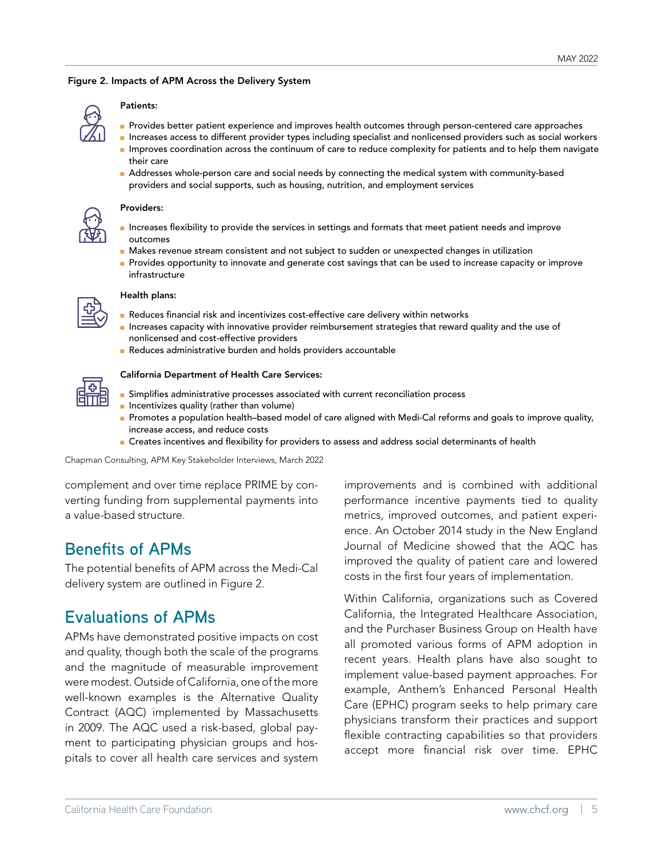### Figure 2. Impacts of APM Across the Delivery System



### Patients:

- Provides better patient experience and improves health outcomes through person-centered care approaches
- Increases access to different provider types including specialist and nonlicensed providers such as social workers ■ Improves coordination across the continuum of care to reduce complexity for patients and to help them navigate their care
- Addresses whole-person care and social needs by connecting the medical system with community-based providers and social supports, such as housing, nutrition, and employment services



#### Providers:

- Increases flexibility to provide the services in settings and formats that meet patient needs and improve outcomes
- Makes revenue stream consistent and not subject to sudden or unexpected changes in utilization
- Provides opportunity to innovate and generate cost savings that can be used to increase capacity or improve infrastructure

### Health plans:

- Reduces financial risk and incentivizes cost-effective care delivery within networks
- Increases capacity with innovative provider reimbursement strategies that reward quality and the use of nonlicensed and cost-effective providers
- Reduces administrative burden and holds providers accountable

### California Department of Health Care Services:

- Simplifies administrative processes associated with current reconciliation process
- Incentivizes quality (rather than volume)
- Promotes a population health–based model of care aligned with Medi-Cal reforms and goals to improve quality, increase access, and reduce costs
- Creates incentives and flexibility for providers to assess and address social determinants of health

Chapman Consulting, APM Key Stakeholder Interviews, March 2022

complement and over time replace PRIME by converting funding from supplemental payments into a value-based structure.

### **Benefits of APMs**

The potential benefits of APM across the Medi-Cal delivery system are outlined in Figure 2.

### **Evaluations of APMs**

APMs have demonstrated positive impacts on cost and quality, though both the scale of the programs and the magnitude of measurable improvement were modest. Outside of California, one of the more well-known examples is the Alternative Quality Contract (AQC) implemented by Massachusetts in 2009. The AQC used a risk-based, global payment to participating physician groups and hospitals to cover all health care services and system

improvements and is combined with additional performance incentive payments tied to quality metrics, improved outcomes, and patient experience. An October 2014 study in the New England Journal of Medicine showed that the AQC has improved the quality of patient care and lowered costs in the first four years of implementation.

Within California, organizations such as Covered California, the Integrated Healthcare Association, and the Purchaser Business Group on Health have all promoted various forms of APM adoption in recent years. Health plans have also sought to implement value-based payment approaches. For example, Anthem's Enhanced Personal Health Care (EPHC) program seeks to help primary care physicians transform their practices and support flexible contracting capabilities so that providers accept more financial risk over time. EPHC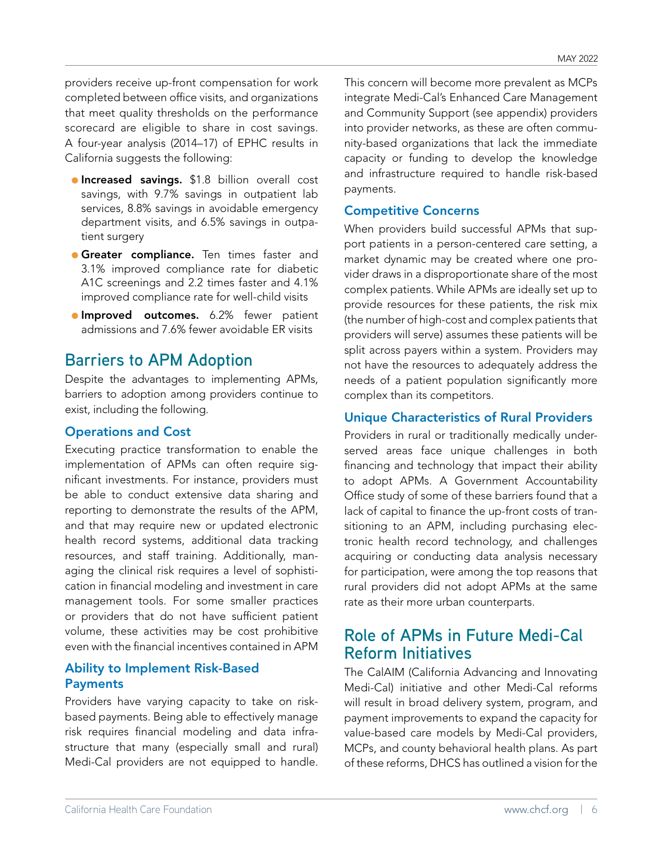providers receive up-front compensation for work completed between office visits, and organizations that meet quality thresholds on the performance scorecard are eligible to share in cost savings. A four-year analysis (2014–17) of EPHC results in California suggests the following:

- **Increased savings.** \$1.8 billion overall cost savings, with 9.7% savings in outpatient lab services, 8.8% savings in avoidable emergency department visits, and 6.5% savings in outpatient surgery
- **Greater compliance.** Ten times faster and 3.1% improved compliance rate for diabetic A1C screenings and 2.2 times faster and 4.1% improved compliance rate for well-child visits
- **Improved outcomes.** 6.2% fewer patient admissions and 7.6% fewer avoidable ER visits

### **Barriers to APM Adoption**

Despite the advantages to implementing APMs, barriers to adoption among providers continue to exist, including the following.

### Operations and Cost

Executing practice transformation to enable the implementation of APMs can often require significant investments. For instance, providers must be able to conduct extensive data sharing and reporting to demonstrate the results of the APM, and that may require new or updated electronic health record systems, additional data tracking resources, and staff training. Additionally, managing the clinical risk requires a level of sophistication in financial modeling and investment in care management tools. For some smaller practices or providers that do not have sufficient patient volume, these activities may be cost prohibitive even with the financial incentives contained in APM

### Ability to Implement Risk-Based **Payments**

Providers have varying capacity to take on riskbased payments. Being able to effectively manage risk requires financial modeling and data infrastructure that many (especially small and rural) Medi-Cal providers are not equipped to handle.

This concern will become more prevalent as MCPs integrate Medi-Cal's Enhanced Care Management and Community Support (see appendix) providers into provider networks, as these are often community-based organizations that lack the immediate capacity or funding to develop the knowledge and infrastructure required to handle risk-based payments.

### Competitive Concerns

When providers build successful APMs that support patients in a person-centered care setting, a market dynamic may be created where one provider draws in a disproportionate share of the most complex patients. While APMs are ideally set up to provide resources for these patients, the risk mix (the number of high-cost and complex patients that providers will serve) assumes these patients will be split across payers within a system. Providers may not have the resources to adequately address the needs of a patient population significantly more complex than its competitors.

### Unique Characteristics of Rural Providers

Providers in rural or traditionally medically underserved areas face unique challenges in both financing and technology that impact their ability to adopt APMs. A Government Accountability Office study of some of these barriers found that a lack of capital to finance the up-front costs of transitioning to an APM, including purchasing electronic health record technology, and challenges acquiring or conducting data analysis necessary for participation, were among the top reasons that rural providers did not adopt APMs at the same rate as their more urban counterparts.

### **Role of APMs in Future Medi-Cal Reform Initiatives**

The CalAIM (California Advancing and Innovating Medi-Cal) initiative and other Medi-Cal reforms will result in broad delivery system, program, and payment improvements to expand the capacity for value-based care models by Medi-Cal providers, MCPs, and county behavioral health plans. As part of these reforms, DHCS has outlined a vision for the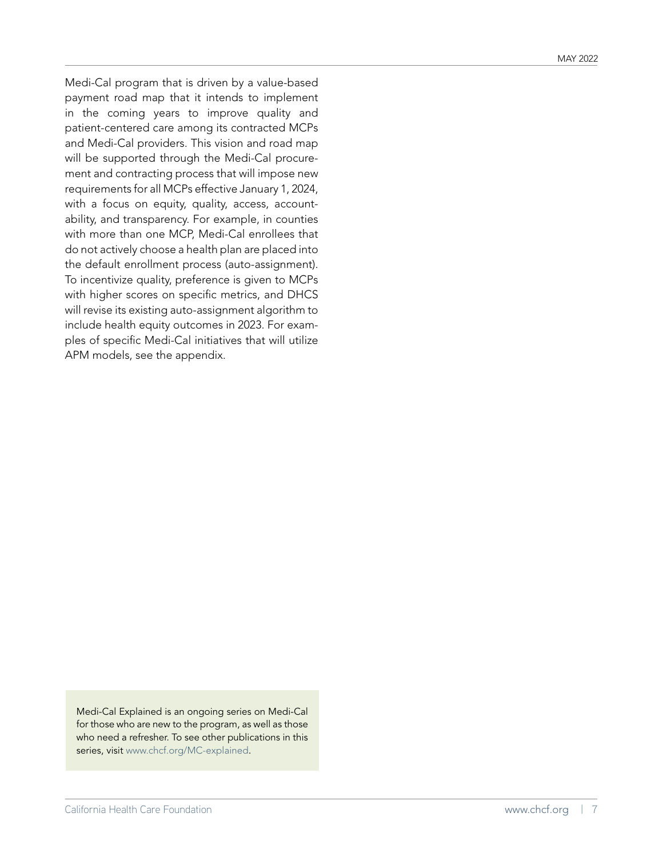Medi-Cal program that is driven by a value-based payment road map that it intends to implement in the coming years to improve quality and patient-centered care among its contracted MCPs and Medi-Cal providers. This vision and road map will be supported through the Medi-Cal procurement and contracting process that will impose new requirements for all MCPs effective January 1, 2024, with a focus on equity, quality, access, accountability, and transparency. For example, in counties with more than one MCP, Medi-Cal enrollees that do not actively choose a health plan are placed into the default enrollment process (auto-assignment). To incentivize quality, preference is given to MCPs with higher scores on specific metrics, and DHCS will revise its existing auto-assignment algorithm to include health equity outcomes in 2023. For examples of specific Medi-Cal initiatives that will utilize APM models, see the appendix.

Medi-Cal Explained is an ongoing series on Medi-Cal for those who are new to the program, as well as those who need a refresher. To see other publications in this series, visit [www.chcf.org/MC-explained](http://www.chcf.org/MC-explained).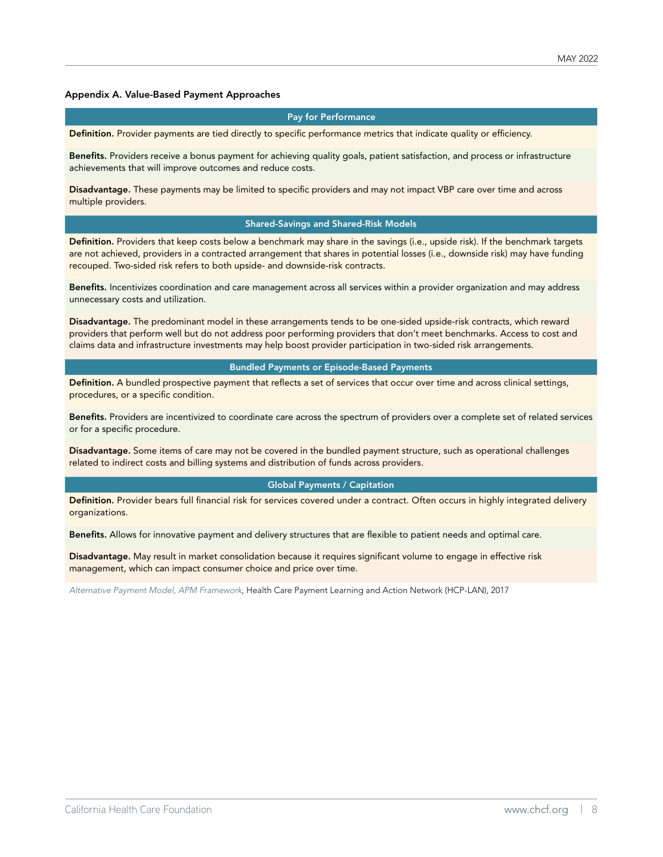#### <span id="page-7-0"></span>Appendix A. Value-Based Payment Approaches

#### Pay for Performance

Definition. Provider payments are tied directly to specific performance metrics that indicate quality or efficiency.

Benefits. Providers receive a bonus payment for achieving quality goals, patient satisfaction, and process or infrastructure achievements that will improve outcomes and reduce costs.

Disadvantage. These payments may be limited to specific providers and may not impact VBP care over time and across multiple providers.

#### Shared-Savings and Shared-Risk Models

Definition. Providers that keep costs below a benchmark may share in the savings (i.e., upside risk). If the benchmark targets are not achieved, providers in a contracted arrangement that shares in potential losses (i.e., downside risk) may have funding recouped. Two-sided risk refers to both upside- and downside-risk contracts.

Benefits. Incentivizes coordination and care management across all services within a provider organization and may address unnecessary costs and utilization.

Disadvantage. The predominant model in these arrangements tends to be one-sided upside-risk contracts, which reward providers that perform well but do not address poor performing providers that don't meet benchmarks. Access to cost and claims data and infrastructure investments may help boost provider participation in two-sided risk arrangements.

#### Bundled Payments or Episode-Based Payments

Definition. A bundled prospective payment that reflects a set of services that occur over time and across clinical settings, procedures, or a specific condition.

Benefits. Providers are incentivized to coordinate care across the spectrum of providers over a complete set of related services or for a specific procedure.

Disadvantage. Some items of care may not be covered in the bundled payment structure, such as operational challenges related to indirect costs and billing systems and distribution of funds across providers.

#### Global Payments / Capitation

Definition. Provider bears full financial risk for services covered under a contract. Often occurs in highly integrated delivery organizations.

Benefits. Allows for innovative payment and delivery structures that are flexible to patient needs and optimal care.

Disadvantage. May result in market consolidation because it requires significant volume to engage in effective risk management, which can impact consumer choice and price over time.

*[Alternative Payment Model, APM Framework](https://hcp-lan.org/apm-framework/)*, Health Care Payment Learning and Action Network (HCP-LAN), 2017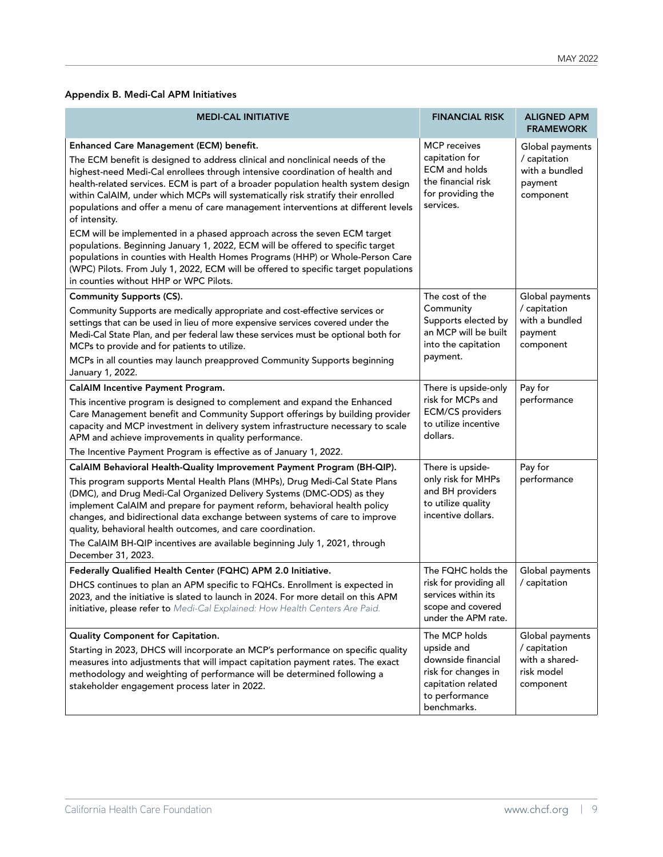### Appendix B. Medi-Cal APM Initiatives

| <b>MEDI-CAL INITIATIVE</b>                                                                                                                                                                                                                                                                                                                                                                                                                                                                                                                                                                                                                                                                                                                                                                                                                                             | <b>FINANCIAL RISK</b>                                                                                                           | <b>ALIGNED APM</b><br><b>FRAMEWORK</b>                                       |
|------------------------------------------------------------------------------------------------------------------------------------------------------------------------------------------------------------------------------------------------------------------------------------------------------------------------------------------------------------------------------------------------------------------------------------------------------------------------------------------------------------------------------------------------------------------------------------------------------------------------------------------------------------------------------------------------------------------------------------------------------------------------------------------------------------------------------------------------------------------------|---------------------------------------------------------------------------------------------------------------------------------|------------------------------------------------------------------------------|
| Enhanced Care Management (ECM) benefit.<br>The ECM benefit is designed to address clinical and nonclinical needs of the<br>highest-need Medi-Cal enrollees through intensive coordination of health and<br>health-related services. ECM is part of a broader population health system design<br>within CalAIM, under which MCPs will systematically risk stratify their enrolled<br>populations and offer a menu of care management interventions at different levels<br>of intensity.<br>ECM will be implemented in a phased approach across the seven ECM target<br>populations. Beginning January 1, 2022, ECM will be offered to specific target<br>populations in counties with Health Homes Programs (HHP) or Whole-Person Care<br>(WPC) Pilots. From July 1, 2022, ECM will be offered to specific target populations<br>in counties without HHP or WPC Pilots. | <b>MCP</b> receives<br>capitation for<br><b>ECM</b> and holds<br>the financial risk<br>for providing the<br>services.           | Global payments<br>/ capitation<br>with a bundled<br>payment<br>component    |
| <b>Community Supports (CS).</b><br>Community Supports are medically appropriate and cost-effective services or<br>settings that can be used in lieu of more expensive services covered under the<br>Medi-Cal State Plan, and per federal law these services must be optional both for                                                                                                                                                                                                                                                                                                                                                                                                                                                                                                                                                                                  | The cost of the<br>Community<br>Supports elected by<br>an MCP will be built<br>into the capitation                              | Global payments<br>/ capitation<br>with a bundled<br>payment<br>component    |
| MCPs to provide and for patients to utilize.<br>MCPs in all counties may launch preapproved Community Supports beginning<br>January 1, 2022.                                                                                                                                                                                                                                                                                                                                                                                                                                                                                                                                                                                                                                                                                                                           | payment.                                                                                                                        |                                                                              |
| CalAIM Incentive Payment Program.<br>This incentive program is designed to complement and expand the Enhanced<br>Care Management benefit and Community Support offerings by building provider<br>capacity and MCP investment in delivery system infrastructure necessary to scale<br>APM and achieve improvements in quality performance.<br>The Incentive Payment Program is effective as of January 1, 2022.                                                                                                                                                                                                                                                                                                                                                                                                                                                         | There is upside-only<br>risk for MCPs and<br><b>ECM/CS</b> providers<br>to utilize incentive<br>dollars.                        | Pay for<br>performance                                                       |
| CalAIM Behavioral Health-Quality Improvement Payment Program (BH-QIP).<br>This program supports Mental Health Plans (MHPs), Drug Medi-Cal State Plans<br>(DMC), and Drug Medi-Cal Organized Delivery Systems (DMC-ODS) as they<br>implement CalAIM and prepare for payment reform, behavioral health policy<br>changes, and bidirectional data exchange between systems of care to improve<br>quality, behavioral health outcomes, and care coordination.<br>The CalAIM BH-QIP incentives are available beginning July 1, 2021, through<br>December 31, 2023.                                                                                                                                                                                                                                                                                                          | There is upside-<br>only risk for MHPs<br>and BH providers<br>to utilize quality<br>incentive dollars.                          | Pay for<br>performance                                                       |
| Federally Qualified Health Center (FQHC) APM 2.0 Initiative.<br>DHCS continues to plan an APM specific to FQHCs. Enrollment is expected in<br>2023, and the initiative is slated to launch in 2024. For more detail on this APM<br>initiative, please refer to Medi-Cal Explained: How Health Centers Are Paid.                                                                                                                                                                                                                                                                                                                                                                                                                                                                                                                                                        | The FQHC holds the<br>risk for providing all<br>services within its<br>scope and covered<br>under the APM rate.                 | Global payments<br>/ capitation                                              |
| <b>Quality Component for Capitation.</b><br>Starting in 2023, DHCS will incorporate an MCP's performance on specific quality<br>measures into adjustments that will impact capitation payment rates. The exact<br>methodology and weighting of performance will be determined following a<br>stakeholder engagement process later in 2022.                                                                                                                                                                                                                                                                                                                                                                                                                                                                                                                             | The MCP holds<br>upside and<br>downside financial<br>risk for changes in<br>capitation related<br>to performance<br>benchmarks. | Global payments<br>/ capitation<br>with a shared-<br>risk model<br>component |